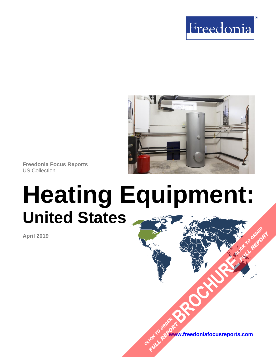



**Freedonia Focus Reports** US Collection

# **Heating Equipment: United States [BROCHURE](https://www.freedoniafocusreports.com/Heating-Equipment-United-States-FF75047/?progid=89541) CLICK TO ORDER**

**April 2019**

**[www.freedoniafocusreports.com](https://www.freedoniafocusreports.com/redirect.asp?progid=89534&url=/)** CLICK TO ORDER **FULL REPORT** 

**FULL REPORT**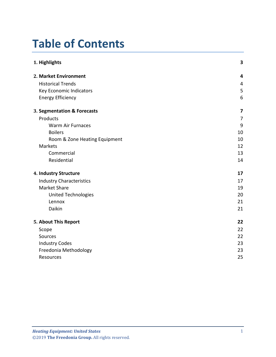# **Table of Contents**

| 1. Highlights                   | 3  |
|---------------------------------|----|
| 2. Market Environment           | 4  |
| <b>Historical Trends</b>        | 4  |
| Key Economic Indicators         | 5  |
| <b>Energy Efficiency</b>        | 6  |
| 3. Segmentation & Forecasts     | 7  |
| Products                        | 7  |
| <b>Warm Air Furnaces</b>        | 9  |
| <b>Boilers</b>                  | 10 |
| Room & Zone Heating Equipment   | 10 |
| Markets                         | 12 |
| Commercial                      | 13 |
| Residential                     | 14 |
| 4. Industry Structure           | 17 |
| <b>Industry Characteristics</b> | 17 |
| <b>Market Share</b>             | 19 |
| <b>United Technologies</b>      | 20 |
| Lennox                          | 21 |
| Daikin                          | 21 |
| 5. About This Report            | 22 |
| Scope                           | 22 |
| Sources                         | 22 |
| <b>Industry Codes</b>           | 23 |
| Freedonia Methodology           | 23 |
| Resources                       | 25 |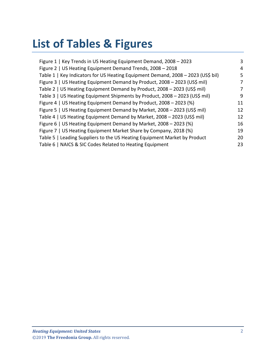# **List of Tables & Figures**

| Figure 1   Key Trends in US Heating Equipment Demand, 2008 - 2023                | 3  |
|----------------------------------------------------------------------------------|----|
| Figure 2   US Heating Equipment Demand Trends, 2008 - 2018                       | 4  |
| Table 1   Key Indicators for US Heating Equipment Demand, 2008 - 2023 (US\$ bil) | 5  |
| Figure 3   US Heating Equipment Demand by Product, 2008 - 2023 (US\$ mil)        | 7  |
| Table 2   US Heating Equipment Demand by Product, 2008 - 2023 (US\$ mil)         | 7  |
| Table 3   US Heating Equipment Shipments by Product, 2008 - 2023 (US\$ mil)      | 9  |
| Figure 4   US Heating Equipment Demand by Product, 2008 - 2023 (%)               | 11 |
| Figure 5   US Heating Equipment Demand by Market, 2008 - 2023 (US\$ mil)         | 12 |
| Table 4   US Heating Equipment Demand by Market, 2008 - 2023 (US\$ mil)          | 12 |
| Figure 6   US Heating Equipment Demand by Market, 2008 - 2023 (%)                | 16 |
| Figure 7   US Heating Equipment Market Share by Company, 2018 (%)                | 19 |
| Table 5   Leading Suppliers to the US Heating Equipment Market by Product        | 20 |
| Table 6   NAICS & SIC Codes Related to Heating Equipment                         | 23 |
|                                                                                  |    |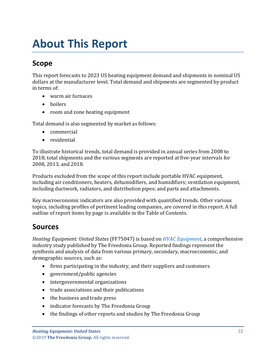# <span id="page-3-0"></span>**About This Report**

## <span id="page-3-1"></span>**Scope**

This report forecasts to 2023 US heating equipment demand and shipments in nominal US dollars at the manufacturer level. Total demand and shipments are segmented by product in terms of:

- warm air furnaces
- boilers
- room and zone heating equipment

Total demand is also segmented by market as follows:

- commercial
- residential

To illustrate historical trends, total demand is provided in annual series from 2008 to 2018; total shipments and the various segments are reported at five-year intervals for 2008, 2013, and 2018.

Products excluded from the scope of this report include portable HVAC equipment, including air conditioners, heaters, dehumidifiers, and humidifiers; ventilation equipment, including ductwork, radiators, and distribution pipes; and parts and attachments.

Key macroeconomic indicators are also provided with quantified trends. Other various topics, including profiles of pertinent leading companies, are covered in this report. A full outline of report items by page is available in the Table of Contents.

## <span id="page-3-2"></span>**Sources**

*Heating Equipment: United States* (FF75047) is based on *[HVAC Equipment,](http://www.freedoniagroup.com/DocumentDetails.aspx?ReferrerId=FL-FOCUS&studyid=3730)* a comprehensive industry study published by The Freedonia Group. Reported findings represent the synthesis and analysis of data from various primary, secondary, macroeconomic, and demographic sources, such as:

- firms participating in the industry, and their suppliers and customers
- government/public agencies
- intergovernmental organizations
- trade associations and their publications
- the business and trade press
- indicator forecasts by The Freedonia Group
- the findings of other reports and studies by The Freedonia Group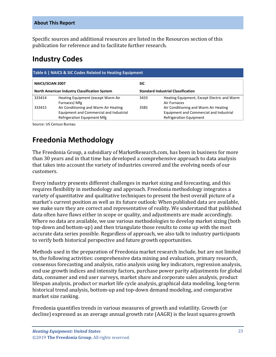Specific sources and additional resources are listed in the Resources section of this publication for reference and to facilitate further research.

## <span id="page-4-0"></span>**Industry Codes**

<span id="page-4-2"></span>

| Table 6   NAICS & SIC Codes Related to Heating Equipment                                          |                                                                                                                 |            |                                                                                                             |  |
|---------------------------------------------------------------------------------------------------|-----------------------------------------------------------------------------------------------------------------|------------|-------------------------------------------------------------------------------------------------------------|--|
| <b>NAICS/SCIAN 2007</b>                                                                           |                                                                                                                 | <b>SIC</b> |                                                                                                             |  |
| <b>North American Industry Classification System</b><br><b>Standard Industrial Classification</b> |                                                                                                                 |            |                                                                                                             |  |
| 333414                                                                                            | Heating Equipment (except Warm Air<br>Furnaces) Mfg                                                             | 3433       | Heating Equipment, Except Electric and Warm<br>Air Furnaces                                                 |  |
| 333415                                                                                            | Air Conditioning and Warm Air Heating<br>Equipment and Commercial and Industrial<br>Refrigeration Equipment Mfg | 3585       | Air Conditioning and Warm Air Heating<br>Equipment and Commercial and Industrial<br>Refrigeration Equipment |  |

Source: US Census Bureau

# <span id="page-4-1"></span>**Freedonia Methodology**

The Freedonia Group, a subsidiary of MarketResearch.com, has been in business for more than 30 years and in that time has developed a comprehensive approach to data analysis that takes into account the variety of industries covered and the evolving needs of our customers.

Every industry presents different challenges in market sizing and forecasting, and this requires flexibility in methodology and approach. Freedonia methodology integrates a variety of quantitative and qualitative techniques to present the best overall picture of a market's current position as well as its future outlook: When published data are available, we make sure they are correct and representative of reality. We understand that published data often have flaws either in scope or quality, and adjustments are made accordingly. Where no data are available, we use various methodologies to develop market sizing (both top-down and bottom-up) and then triangulate those results to come up with the most accurate data series possible. Regardless of approach, we also talk to industry participants to verify both historical perspective and future growth opportunities.

Methods used in the preparation of Freedonia market research include, but are not limited to, the following activities: comprehensive data mining and evaluation, primary research, consensus forecasting and analysis, ratio analysis using key indicators, regression analysis, end use growth indices and intensity factors, purchase power parity adjustments for global data, consumer and end user surveys, market share and corporate sales analysis, product lifespan analysis, product or market life cycle analysis, graphical data modeling, long-term historical trend analysis, bottom-up and top-down demand modeling, and comparative market size ranking.

Freedonia quantifies trends in various measures of growth and volatility. Growth (or decline) expressed as an average annual growth rate (AAGR) is the least squares growth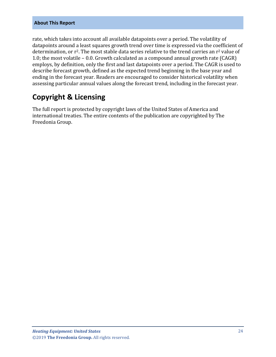#### **About This Report**

rate, which takes into account all available datapoints over a period. The volatility of datapoints around a least squares growth trend over time is expressed via the coefficient of determination, or r<sup>2</sup>. The most stable data series relative to the trend carries an r<sup>2</sup> value of 1.0; the most volatile – 0.0. Growth calculated as a compound annual growth rate (CAGR) employs, by definition, only the first and last datapoints over a period. The CAGR is used to describe forecast growth, defined as the expected trend beginning in the base year and ending in the forecast year. Readers are encouraged to consider historical volatility when assessing particular annual values along the forecast trend, including in the forecast year.

## **Copyright & Licensing**

The full report is protected by copyright laws of the United States of America and international treaties. The entire contents of the publication are copyrighted by The Freedonia Group.